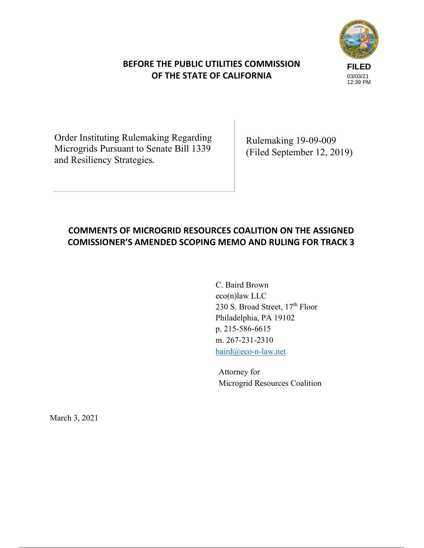# **BEFORE THE PUBLIC UTILITIES COMMISSION OF THE STATE OF CALIFORNIA**



Order Instituting Rulemaking Regarding Microgrids Pursuant to Senate Bill 1339 and Resiliency Strategies*.* 

Rulemaking 19-09-009 (Filed September 12, 2019)

# **COMMENTS OF MICROGRID RESOURCES COALITION ON THE ASSIGNED COMISSIONER'S AMENDED SCOPING MEMO AND RULING FOR TRACK 3**

C. Baird Brown eco(n)law LLC 230 S. Broad Street, 17<sup>th</sup> Floor Philadelphia, PA 19102 p. 215-586-6615 m. 267-231-2310 baird@eco-n-law.net

Attorney for Microgrid Resources Coalition

March 3, 2021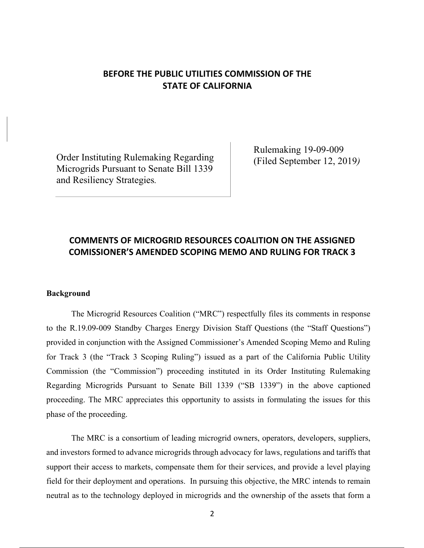# **BEFORE THE PUBLIC UTILITIES COMMISSION OF THE STATE OF CALIFORNIA**

Order Instituting Rulemaking Regarding Microgrids Pursuant to Senate Bill 1339 and Resiliency Strategies*.* 

Rulemaking 19-09-009 (Filed September 12, 2019*)* 

# **COMMENTS OF MICROGRID RESOURCES COALITION ON THE ASSIGNED COMISSIONER'S AMENDED SCOPING MEMO AND RULING FOR TRACK 3**

#### **Background**

The Microgrid Resources Coalition ("MRC") respectfully files its comments in response to the R.19.09-009 Standby Charges Energy Division Staff Questions (the "Staff Questions") provided in conjunction with the Assigned Commissioner's Amended Scoping Memo and Ruling for Track 3 (the "Track 3 Scoping Ruling") issued as a part of the California Public Utility Commission (the "Commission") proceeding instituted in its Order Instituting Rulemaking Regarding Microgrids Pursuant to Senate Bill 1339 ("SB 1339") in the above captioned proceeding. The MRC appreciates this opportunity to assists in formulating the issues for this phase of the proceeding.

The MRC is a consortium of leading microgrid owners, operators, developers, suppliers, and investors formed to advance microgrids through advocacy for laws, regulations and tariffs that support their access to markets, compensate them for their services, and provide a level playing field for their deployment and operations. In pursuing this objective, the MRC intends to remain neutral as to the technology deployed in microgrids and the ownership of the assets that form a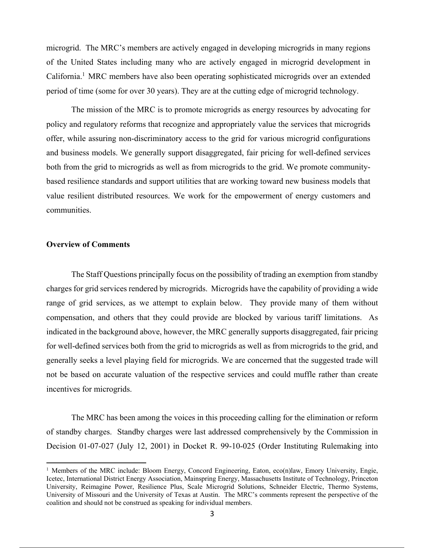microgrid. The MRC's members are actively engaged in developing microgrids in many regions of the United States including many who are actively engaged in microgrid development in California.<sup>1</sup> MRC members have also been operating sophisticated microgrids over an extended period of time (some for over 30 years). They are at the cutting edge of microgrid technology.

The mission of the MRC is to promote microgrids as energy resources by advocating for policy and regulatory reforms that recognize and appropriately value the services that microgrids offer, while assuring non-discriminatory access to the grid for various microgrid configurations and business models. We generally support disaggregated, fair pricing for well-defined services both from the grid to microgrids as well as from microgrids to the grid. We promote communitybased resilience standards and support utilities that are working toward new business models that value resilient distributed resources. We work for the empowerment of energy customers and communities.

#### **Overview of Comments**

1

The Staff Questions principally focus on the possibility of trading an exemption from standby charges for grid services rendered by microgrids. Microgrids have the capability of providing a wide range of grid services, as we attempt to explain below. They provide many of them without compensation, and others that they could provide are blocked by various tariff limitations. As indicated in the background above, however, the MRC generally supports disaggregated, fair pricing for well-defined services both from the grid to microgrids as well as from microgrids to the grid, and generally seeks a level playing field for microgrids. We are concerned that the suggested trade will not be based on accurate valuation of the respective services and could muffle rather than create incentives for microgrids.

The MRC has been among the voices in this proceeding calling for the elimination or reform of standby charges. Standby charges were last addressed comprehensively by the Commission in Decision 01-07-027 (July 12, 2001) in Docket R. 99-10-025 (Order Instituting Rulemaking into

<sup>&</sup>lt;sup>1</sup> Members of the MRC include: Bloom Energy, Concord Engineering, Eaton, eco(n)law, Emory University, Engie, Icetec, International District Energy Association, Mainspring Energy, Massachusetts Institute of Technology, Princeton University, Reimagine Power, Resilience Plus, Scale Microgrid Solutions, Schneider Electric, Thermo Systems, University of Missouri and the University of Texas at Austin. The MRC's comments represent the perspective of the coalition and should not be construed as speaking for individual members.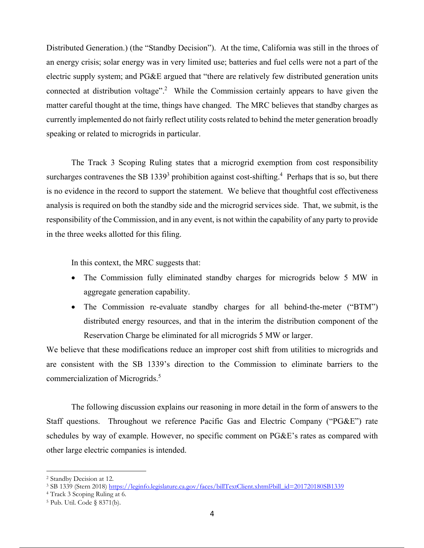Distributed Generation.) (the "Standby Decision"). At the time, California was still in the throes of an energy crisis; solar energy was in very limited use; batteries and fuel cells were not a part of the electric supply system; and PG&E argued that "there are relatively few distributed generation units connected at distribution voltage".<sup>2</sup> While the Commission certainly appears to have given the matter careful thought at the time, things have changed. The MRC believes that standby charges as currently implemented do not fairly reflect utility costs related to behind the meter generation broadly speaking or related to microgrids in particular.

The Track 3 Scoping Ruling states that a microgrid exemption from cost responsibility surcharges contravenes the SB 1339<sup>3</sup> prohibition against cost-shifting.<sup>4</sup> Perhaps that is so, but there is no evidence in the record to support the statement. We believe that thoughtful cost effectiveness analysis is required on both the standby side and the microgrid services side. That, we submit, is the responsibility of the Commission, and in any event, is not within the capability of any party to provide in the three weeks allotted for this filing.

In this context, the MRC suggests that:

- The Commission fully eliminated standby charges for microgrids below 5 MW in aggregate generation capability.
- The Commission re-evaluate standby charges for all behind-the-meter ("BTM") distributed energy resources, and that in the interim the distribution component of the Reservation Charge be eliminated for all microgrids 5 MW or larger.

We believe that these modifications reduce an improper cost shift from utilities to microgrids and are consistent with the SB 1339's direction to the Commission to eliminate barriers to the commercialization of Microgrids.<sup>5</sup>

The following discussion explains our reasoning in more detail in the form of answers to the Staff questions. Throughout we reference Pacific Gas and Electric Company ("PG&E") rate schedules by way of example. However, no specific comment on PG&E's rates as compared with other large electric companies is intended.

<sup>2</sup> Standby Decision at 12.

<sup>&</sup>lt;sup>3</sup> SB 1339 (Stern 2018) https://leginfo.legislature.ca.gov/faces/billTextClient.xhtml?bill\_id=201720180SB1339

<sup>4</sup> Track 3 Scoping Ruling at 6.

<sup>5</sup> Pub. Util. Code § 8371(b).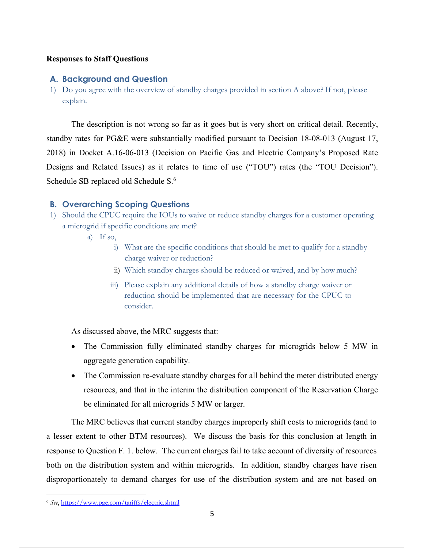### **Responses to Staff Questions**

### **A. Background and Question**

1) Do you agree with the overview of standby charges provided in section A above? If not, please explain.

The description is not wrong so far as it goes but is very short on critical detail. Recently, standby rates for PG&E were substantially modified pursuant to Decision 18-08-013 (August 17, 2018) in Docket A.16-06-013 (Decision on Pacific Gas and Electric Company's Proposed Rate Designs and Related Issues) as it relates to time of use ("TOU") rates (the "TOU Decision"). Schedule SB replaced old Schedule S.<sup>6</sup>

## **B. Overarching Scoping Questions**

- 1) Should the CPUC require the IOUs to waive or reduce standby charges for a customer operating a microgrid if specific conditions are met?
	- a) If so,
		- i) What are the specific conditions that should be met to qualify for a standby charge waiver or reduction?
		- ii) Which standby charges should be reduced or waived, and by how much?
		- iii) Please explain any additional details of how a standby charge waiver or reduction should be implemented that are necessary for the CPUC to consider.

As discussed above, the MRC suggests that:

- The Commission fully eliminated standby charges for microgrids below 5 MW in aggregate generation capability.
- The Commission re-evaluate standby charges for all behind the meter distributed energy resources, and that in the interim the distribution component of the Reservation Charge be eliminated for all microgrids 5 MW or larger.

The MRC believes that current standby charges improperly shift costs to microgrids (and to a lesser extent to other BTM resources). We discuss the basis for this conclusion at length in response to Question F. 1. below. The current charges fail to take account of diversity of resources both on the distribution system and within microgrids. In addition, standby charges have risen disproportionately to demand charges for use of the distribution system and are not based on

<sup>&</sup>lt;u>.</u> <sup>6</sup> *See*, https://www.pge.com/tariffs/electric.shtml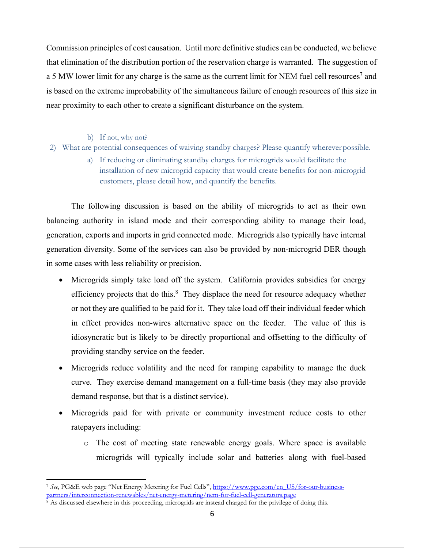Commission principles of cost causation. Until more definitive studies can be conducted, we believe that elimination of the distribution portion of the reservation charge is warranted. The suggestion of a 5 MW lower limit for any charge is the same as the current limit for NEM fuel cell resources<sup>7</sup> and is based on the extreme improbability of the simultaneous failure of enough resources of this size in near proximity to each other to create a significant disturbance on the system.

b) If not, why not?

<u>.</u>

- 2) What are potential consequences of waiving standby charges? Please quantify wherever possible.
	- a) If reducing or eliminating standby charges for microgrids would facilitate the installation of new microgrid capacity that would create benefits for non-microgrid customers, please detail how, and quantify the benefits.

The following discussion is based on the ability of microgrids to act as their own balancing authority in island mode and their corresponding ability to manage their load, generation, exports and imports in grid connected mode. Microgrids also typically have internal generation diversity. Some of the services can also be provided by non-microgrid DER though in some cases with less reliability or precision.

- Microgrids simply take load off the system. California provides subsidies for energy efficiency projects that do this.<sup>8</sup> They displace the need for resource adequacy whether or not they are qualified to be paid for it. They take load off their individual feeder which in effect provides non-wires alternative space on the feeder. The value of this is idiosyncratic but is likely to be directly proportional and offsetting to the difficulty of providing standby service on the feeder.
- Microgrids reduce volatility and the need for ramping capability to manage the duck curve. They exercise demand management on a full-time basis (they may also provide demand response, but that is a distinct service).
- Microgrids paid for with private or community investment reduce costs to other ratepayers including:
	- o The cost of meeting state renewable energy goals. Where space is available microgrids will typically include solar and batteries along with fuel-based

<sup>&</sup>lt;sup>7</sup> *See*, PG&E web page "Net Energy Metering for Fuel Cells", https://www.pge.com/en\_US/for-our-business-<br>partners/interconnection-renewables/net-energy-metering/nem-for-fuel-cell-generators.page

 $\frac{1}{8}$  As discussed elsewhere in this proceeding, microgrids are instead charged for the privilege of doing this.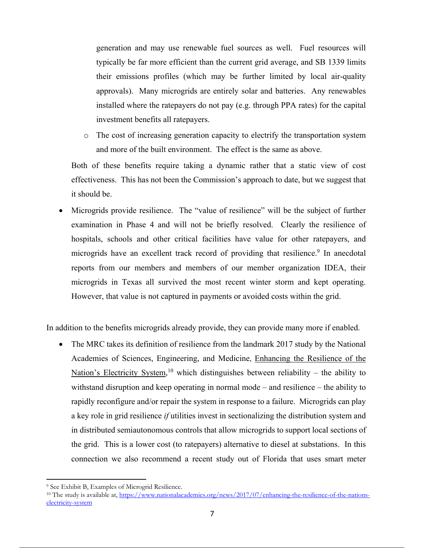generation and may use renewable fuel sources as well. Fuel resources will typically be far more efficient than the current grid average, and SB 1339 limits their emissions profiles (which may be further limited by local air-quality approvals). Many microgrids are entirely solar and batteries. Any renewables installed where the ratepayers do not pay (e.g. through PPA rates) for the capital investment benefits all ratepayers.

o The cost of increasing generation capacity to electrify the transportation system and more of the built environment. The effect is the same as above.

Both of these benefits require taking a dynamic rather that a static view of cost effectiveness. This has not been the Commission's approach to date, but we suggest that it should be.

 Microgrids provide resilience. The "value of resilience" will be the subject of further examination in Phase 4 and will not be briefly resolved. Clearly the resilience of hospitals, schools and other critical facilities have value for other ratepayers, and microgrids have an excellent track record of providing that resilience.<sup>9</sup> In anecdotal reports from our members and members of our member organization IDEA, their microgrids in Texas all survived the most recent winter storm and kept operating. However, that value is not captured in payments or avoided costs within the grid.

In addition to the benefits microgrids already provide, they can provide many more if enabled.

• The MRC takes its definition of resilience from the landmark 2017 study by the National Academies of Sciences, Engineering, and Medicine, Enhancing the Resilience of the Nation's Electricity System,<sup>10</sup> which distinguishes between reliability – the ability to withstand disruption and keep operating in normal mode – and resilience – the ability to rapidly reconfigure and/or repair the system in response to a failure. Microgrids can play a key role in grid resilience *if* utilities invest in sectionalizing the distribution system and in distributed semiautonomous controls that allow microgrids to support local sections of the grid. This is a lower cost (to ratepayers) alternative to diesel at substations. In this connection we also recommend a recent study out of Florida that uses smart meter

<sup>9</sup> See Exhibit B, Examples of Microgrid Resilience.

<sup>&</sup>lt;sup>10</sup> The study is available at, https://www.nationalacademies.org/news/2017/07/enhancing-the-resilience-of-the-nationselectricity-system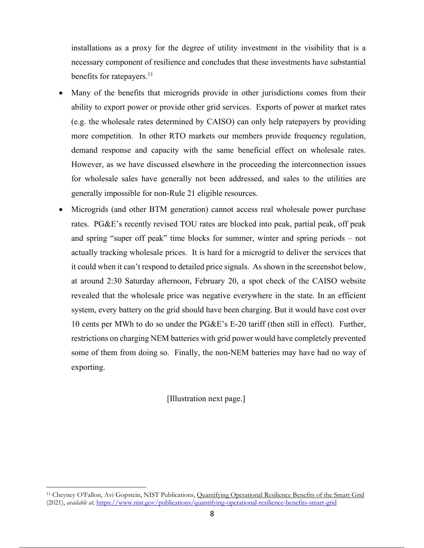installations as a proxy for the degree of utility investment in the visibility that is a necessary component of resilience and concludes that these investments have substantial benefits for ratepayers.<sup>11</sup>

- Many of the benefits that microgrids provide in other jurisdictions comes from their ability to export power or provide other grid services. Exports of power at market rates (e.g. the wholesale rates determined by CAISO) can only help ratepayers by providing more competition. In other RTO markets our members provide frequency regulation, demand response and capacity with the same beneficial effect on wholesale rates. However, as we have discussed elsewhere in the proceeding the interconnection issues for wholesale sales have generally not been addressed, and sales to the utilities are generally impossible for non-Rule 21 eligible resources.
- Microgrids (and other BTM generation) cannot access real wholesale power purchase rates. PG&E's recently revised TOU rates are blocked into peak, partial peak, off peak and spring "super off peak" time blocks for summer, winter and spring periods – not actually tracking wholesale prices. It is hard for a microgrid to deliver the services that it could when it can't respond to detailed price signals. As shown in the screenshot below, at around 2:30 Saturday afternoon, February 20, a spot check of the CAISO website revealed that the wholesale price was negative everywhere in the state. In an efficient system, every battery on the grid should have been charging. But it would have cost over 10 cents per MWh to do so under the PG&E's E-20 tariff (then still in effect). Further, restrictions on charging NEM batteries with grid power would have completely prevented some of them from doing so. Finally, the non-NEM batteries may have had no way of exporting.

[Illustration next page.]

<sup>&</sup>lt;sup>11</sup> Cheyney O'Fallon, Avi Gopstein, NIST Publications, Quantifying Operational Resilience Benefits of the Smart Grid (2021), *available at,* https://www.nist.gov/publications/quantifying-operational-resilience-benefits-smart-grid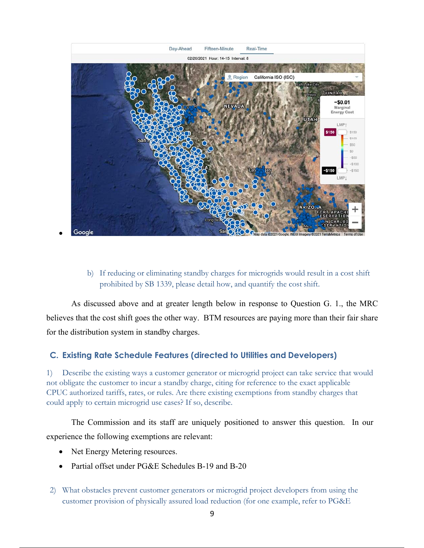

## b) If reducing or eliminating standby charges for microgrids would result in a cost shift prohibited by SB 1339, please detail how, and quantify the cost shift.

As discussed above and at greater length below in response to Question G. 1., the MRC believes that the cost shift goes the other way. BTM resources are paying more than their fair share for the distribution system in standby charges.

# **C. Existing Rate Schedule Features (directed to Utilities and Developers)**

1) Describe the existing ways a customer generator or microgrid project can take service that would not obligate the customer to incur a standby charge, citing for reference to the exact applicable CPUC authorized tariffs, rates, or rules. Are there existing exemptions from standby charges that could apply to certain microgrid use cases? If so, describe.

The Commission and its staff are uniquely positioned to answer this question. In our experience the following exemptions are relevant:

- Net Energy Metering resources.
- Partial offset under PG&E Schedules B-19 and B-20
- 2) What obstacles prevent customer generators or microgrid project developers from using the customer provision of physically assured load reduction (for one example, refer to PG&E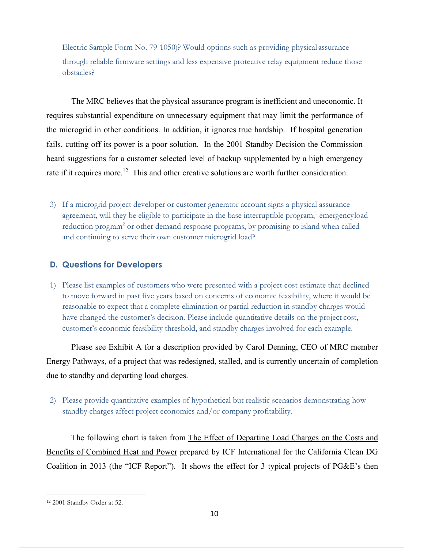Electric Sample Form No. 79-1050)? Would options such as providing physical assurance through reliable firmware settings and less expensive protective relay equipment reduce those obstacles?

The MRC believes that the physical assurance program is inefficient and uneconomic. It requires substantial expenditure on unnecessary equipment that may limit the performance of the microgrid in other conditions. In addition, it ignores true hardship. If hospital generation fails, cutting off its power is a poor solution. In the 2001 Standby Decision the Commission heard suggestions for a customer selected level of backup supplemented by a high emergency rate if it requires more.<sup>12</sup> This and other creative solutions are worth further consideration.

3) If a microgrid project developer or customer generator account signs a physical assurance agreement, will they be eligible to participate in the base interruptible program,<sup>1</sup> emergencyload reduction program<sup>2</sup> or other demand response programs, by promising to island when called and continuing to serve their own customer microgrid load?

## **D. Questions for Developers**

1) Please list examples of customers who were presented with a project cost estimate that declined to move forward in past five years based on concerns of economic feasibility, where it would be reasonable to expect that a complete elimination or partial reduction in standby charges would have changed the customer's decision. Please include quantitative details on the project cost, customer's economic feasibility threshold, and standby charges involved for each example.

Please see Exhibit A for a description provided by Carol Denning, CEO of MRC member Energy Pathways, of a project that was redesigned, stalled, and is currently uncertain of completion due to standby and departing load charges.

2) Please provide quantitative examples of hypothetical but realistic scenarios demonstrating how standby charges affect project economics and/or company profitability.

The following chart is taken from The Effect of Departing Load Charges on the Costs and Benefits of Combined Heat and Power prepared by ICF International for the California Clean DG Coalition in 2013 (the "ICF Report"). It shows the effect for 3 typical projects of PG&E's then

<sup>&</sup>lt;u>.</u> 12 2001 Standby Order at 52.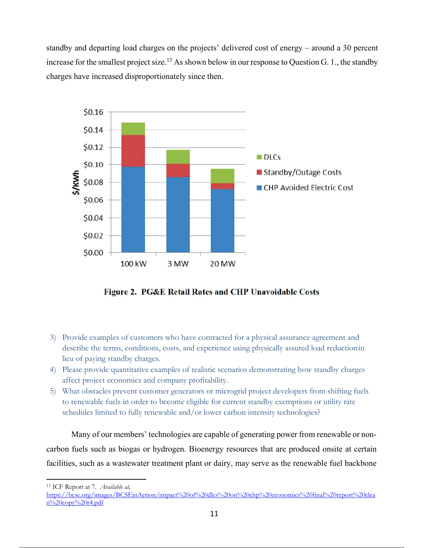standby and departing load charges on the projects' delivered cost of energy – around a 30 percent increase for the smallest project size.<sup>13</sup> As shown below in our response to Question G. 1., the standby charges have increased disproportionately since then.



Figure 2. PG&E Retail Rates and CHP Unavoidable Costs

- 3) Provide examples of customers who have contracted for a physical assurance agreement and describe the terms, conditions, costs, and experience using physically assured load reduction in lieu of paying standby charges.
- 4) Please provide quantitative examples of realistic scenarios demonstrating how standby charges affect project economics and company profitability.
- 5) What obstacles prevent customer generators or microgrid project developers from shifting fuels to renewable fuels in order to become eligible for current standby exemptions or utility rate schedules limited to fully renewable and/or lower carbon intensity technologies?

Many of our members' technologies are capable of generating power from renewable or noncarbon fuels such as biogas or hydrogen. Bioenergy resources that are produced onsite at certain facilities, such as a wastewater treatment plant or dairy, may serve as the renewable fuel backbone

<u>.</u> 13 ICF Report at 7. *Available at,*

https://bcse.org/images/BCSEinAction/impact%20of%20dlcs%20on%20chp%20economics%20final%20report%20clea  $n\sqrt{20}$ copy $\sqrt{20}$ r4.pdf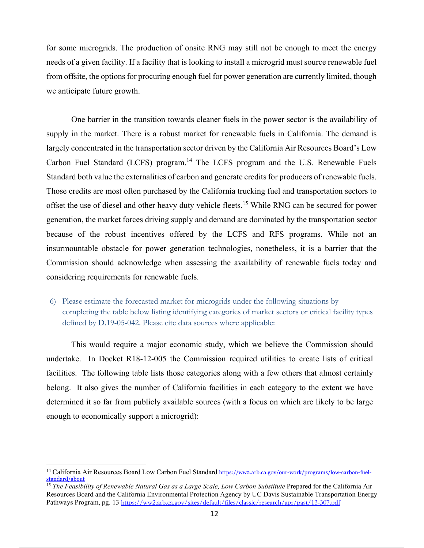for some microgrids. The production of onsite RNG may still not be enough to meet the energy needs of a given facility. If a facility that is looking to install a microgrid must source renewable fuel from offsite, the options for procuring enough fuel for power generation are currently limited, though we anticipate future growth.

One barrier in the transition towards cleaner fuels in the power sector is the availability of supply in the market. There is a robust market for renewable fuels in California. The demand is largely concentrated in the transportation sector driven by the California Air Resources Board's Low Carbon Fuel Standard (LCFS) program.<sup>14</sup> The LCFS program and the U.S. Renewable Fuels Standard both value the externalities of carbon and generate credits for producers of renewable fuels. Those credits are most often purchased by the California trucking fuel and transportation sectors to offset the use of diesel and other heavy duty vehicle fleets.<sup>15</sup> While RNG can be secured for power generation, the market forces driving supply and demand are dominated by the transportation sector because of the robust incentives offered by the LCFS and RFS programs. While not an insurmountable obstacle for power generation technologies, nonetheless, it is a barrier that the Commission should acknowledge when assessing the availability of renewable fuels today and considering requirements for renewable fuels.

6) Please estimate the forecasted market for microgrids under the following situations by completing the table below listing identifying categories of market sectors or critical facility types defined by D.19-05-042. Please cite data sources where applicable:

This would require a major economic study, which we believe the Commission should undertake. In Docket R18-12-005 the Commission required utilities to create lists of critical facilities. The following table lists those categories along with a few others that almost certainly belong. It also gives the number of California facilities in each category to the extent we have determined it so far from publicly available sources (with a focus on which are likely to be large enough to economically support a microgrid):

1

<sup>&</sup>lt;sup>14</sup> California Air Resources Board Low Carbon Fuel Standard https://ww2.arb.ca.gov/our-work/programs/low-carbon-fuelstandard/about

<sup>&</sup>lt;sup>15</sup> *The Feasibility of Renewable Natural Gas as a Large Scale, Low Carbon Substitute* Prepared for the California Air Resources Board and the California Environmental Protection Agency by UC Davis Sustainable Transportation Energy Pathways Program, pg. 13 https://ww2.arb.ca.gov/sites/default/files/classic/research/apr/past/13-307.pdf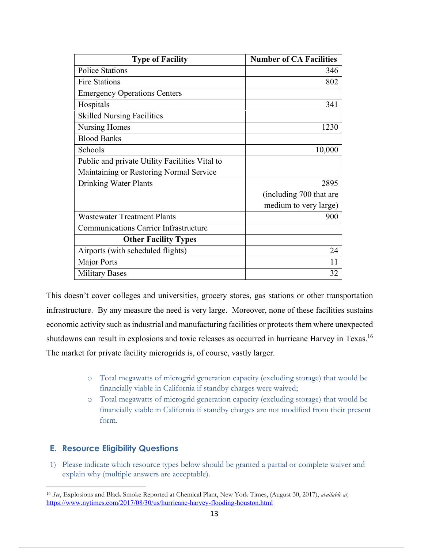| <b>Type of Facility</b>                        | <b>Number of CA Facilities</b> |
|------------------------------------------------|--------------------------------|
| <b>Police Stations</b>                         | 346                            |
| <b>Fire Stations</b>                           | 802                            |
| <b>Emergency Operations Centers</b>            |                                |
| Hospitals                                      | 341                            |
| <b>Skilled Nursing Facilities</b>              |                                |
| Nursing Homes                                  | 1230                           |
| <b>Blood Banks</b>                             |                                |
| Schools                                        | 10,000                         |
| Public and private Utility Facilities Vital to |                                |
| Maintaining or Restoring Normal Service        |                                |
| Drinking Water Plants                          | 2895                           |
|                                                | (including 700 that are        |
|                                                | medium to very large)          |
| <b>Wastewater Treatment Plants</b>             | 900                            |
| <b>Communications Carrier Infrastructure</b>   |                                |
| <b>Other Facility Types</b>                    |                                |
| Airports (with scheduled flights)              | 24                             |
| <b>Major Ports</b>                             | 11                             |
| <b>Military Bases</b>                          | 32                             |

This doesn't cover colleges and universities, grocery stores, gas stations or other transportation infrastructure. By any measure the need is very large. Moreover, none of these facilities sustains economic activity such as industrial and manufacturing facilities or protects them where unexpected shutdowns can result in explosions and toxic releases as occurred in hurricane Harvey in Texas.16 The market for private facility microgrids is, of course, vastly larger.

- o Total megawatts of microgrid generation capacity (excluding storage) that would be financially viable in California if standby charges were waived;
- o Total megawatts of microgrid generation capacity (excluding storage) that would be financially viable in California if standby charges are not modified from their present form.

# **E. Resource Eligibility Questions**

1) Please indicate which resource types below should be granted a partial or complete waiver and explain why (multiple answers are acceptable).

<sup>1</sup> <sup>16</sup> *See*, Explosions and Black Smoke Reported at Chemical Plant, New York Times, (August 30, 2017), *available at,* https://www.nytimes.com/2017/08/30/us/hurricane-harvey-flooding-houston.html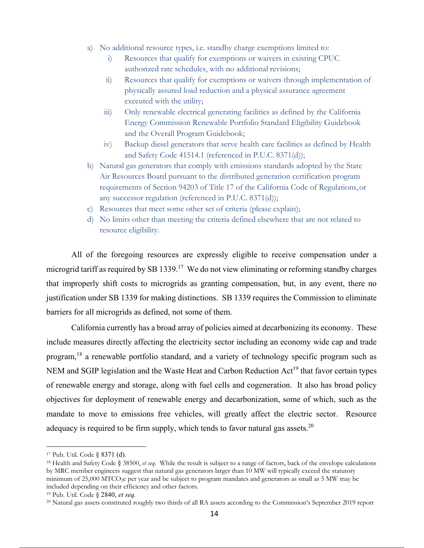- a) No additional resource types, i.e. standby charge exemptions limited to:
	- i) Resources that qualify for exemptions or waivers in existing CPUC authorized rate schedules, with no additional revisions;
	- ii) Resources that qualify for exemptions or waivers through implementation of physically assured load reduction and a physical assurance agreement executed with the utility;
	- iii) Only renewable electrical generating facilities as defined by the California Energy Commission Renewable Portfolio Standard Eligibility Guidebook and the Overall Program Guidebook;
	- iv) Backup diesel generators that serve health care facilities as defined by Health and Safety Code 41514.1 (referenced in P.U.C. 8371(d));
- b) Natural gas generators that comply with emissions standards adopted by the State Air Resources Board pursuant to the distributed generation certification program requirements of Section 94203 of Title 17 of the California Code of Regulations, or any successor regulation (referenced in P.U.C. 8371(d));
- c) Resources that meet some other set of criteria (please explain);
- d) No limits other than meeting the criteria defined elsewhere that are not related to resource eligibility.

All of the foregoing resources are expressly eligible to receive compensation under a microgrid tariff as required by SB 1339.<sup>17</sup> We do not view eliminating or reforming standby charges that improperly shift costs to microgrids as granting compensation, but, in any event, there no justification under SB 1339 for making distinctions. SB 1339 requires the Commission to eliminate barriers for all microgrids as defined, not some of them.

California currently has a broad array of policies aimed at decarbonizing its economy. These include measures directly affecting the electricity sector including an economy wide cap and trade program,<sup>18</sup> a renewable portfolio standard, and a variety of technology specific program such as NEM and SGIP legislation and the Waste Heat and Carbon Reduction Act<sup>19</sup> that favor certain types of renewable energy and storage, along with fuel cells and cogeneration. It also has broad policy objectives for deployment of renewable energy and decarbonization, some of which, such as the mandate to move to emissions free vehicles, will greatly affect the electric sector. Resource adequacy is required to be firm supply, which tends to favor natural gas assets.<sup>20</sup>

1

<sup>17</sup> Pub. Util. Code § 8371 (d).

<sup>18</sup> Health and Safety Code § 38500, *et seq*. While the result is subject to a range of factors, back of the envelope calculations by MRC member engineers suggest that natural gas generators larger than 10 MW will typically exceed the statutory minimum of 25,000 MTCO<sub>2</sub>e per year and be subject to program mandates and generators as small as 5 MW may be included depending on their efficiency and other factors.

<sup>19</sup> Pub. Util. Code § 2840, *et seq.*

<sup>20</sup> Natural gas assets constituted roughly two thirds of all RA assets according to the Commission's September 2019 report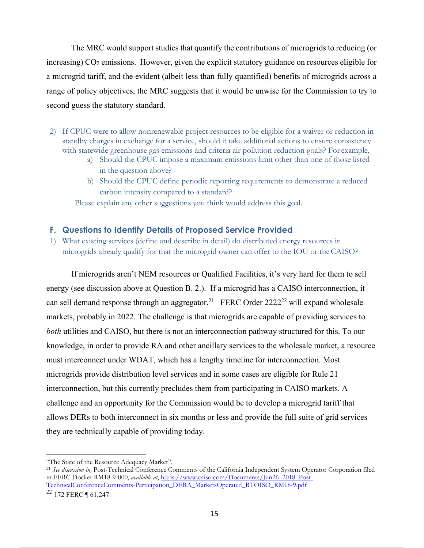The MRC would support studies that quantify the contributions of microgrids to reducing (or increasing) CO2 emissions. However, given the explicit statutory guidance on resources eligible for a microgrid tariff, and the evident (albeit less than fully quantified) benefits of microgrids across a range of policy objectives, the MRC suggests that it would be unwise for the Commission to try to second guess the statutory standard.

- 2) If CPUC were to allow nonrenewable project resources to be eligible for a waiver or reduction in standby charges in exchange for a service, should it take additional actions to ensure consistency with statewide greenhouse gas emissions and criteria air pollution reduction goals? For example,
	- a) Should the CPUC impose a maximum emissions limit other than one of those listed in the question above?
	- b) Should the CPUC define periodic reporting requirements to demonstrate a reduced carbon intensity compared to a standard?

Please explain any other suggestions you think would address this goal.

### **F. Questions to Identify Details of Proposed Service Provided**

1) What existing services (define and describe in detail) do distributed energy resources in microgrids already qualify for that the microgrid owner can offer to the IOU or the CAISO?

If microgrids aren't NEM resources or Qualified Facilities, it's very hard for them to sell energy (see discussion above at Question B. 2.). If a microgrid has a CAISO interconnection, it can sell demand response through an aggregator.<sup>21</sup> FERC Order 2222<sup>22</sup> will expand wholesale markets, probably in 2022. The challenge is that microgrids are capable of providing services to *both* utilities and CAISO, but there is not an interconnection pathway structured for this. To our knowledge, in order to provide RA and other ancillary services to the wholesale market, a resource must interconnect under WDAT, which has a lengthy timeline for interconnection. Most microgrids provide distribution level services and in some cases are eligible for Rule 21 interconnection, but this currently precludes them from participating in CAISO markets. A challenge and an opportunity for the Commission would be to develop a microgrid tariff that allows DERs to both interconnect in six months or less and provide the full suite of grid services they are technically capable of providing today.

<sup>1</sup> "The State of the Resource Adequacy Market".

<sup>21</sup> *See discussion in,* Post-Technical Conference Comments of the California Independent System Operator Corporation filed in FERC Docket RM18-9-000, *available at*, https://www.caiso.com/Documents/Jun26\_2018\_Post-TechnicalConferenceComments-Participation\_DERA\_MarketsOperated\_RTOISO\_RM18-9.pdf  $22$  172 FERC ¶ 61,247.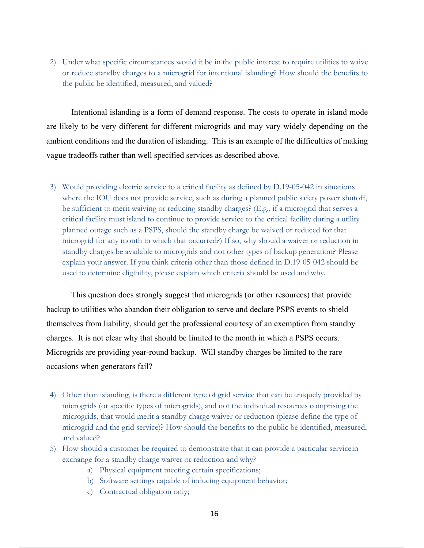2) Under what specific circumstances would it be in the public interest to require utilities to waive or reduce standby charges to a microgrid for intentional islanding? How should the benefits to the public be identified, measured, and valued?

Intentional islanding is a form of demand response. The costs to operate in island mode are likely to be very different for different microgrids and may vary widely depending on the ambient conditions and the duration of islanding. This is an example of the difficulties of making vague tradeoffs rather than well specified services as described above.

3) Would providing electric service to a critical facility as defined by D.19-05-042 in situations where the IOU does not provide service, such as during a planned public safety power shutoff, be sufficient to merit waiving or reducing standby charges? (E.g., if a microgrid that serves a critical facility must island to continue to provide service to the critical facility during a utility planned outage such as a PSPS, should the standby charge be waived or reduced for that microgrid for any month in which that occurred?) If so, why should a waiver or reduction in standby charges be available to microgrids and not other types of backup generation? Please explain your answer. If you think criteria other than those defined in D.19-05-042 should be used to determine eligibility, please explain which criteria should be used and why.

This question does strongly suggest that microgrids (or other resources) that provide backup to utilities who abandon their obligation to serve and declare PSPS events to shield themselves from liability, should get the professional courtesy of an exemption from standby charges. It is not clear why that should be limited to the month in which a PSPS occurs. Microgrids are providing year-round backup. Will standby charges be limited to the rare occasions when generators fail?

- 4) Other than islanding, is there a different type of grid service that can be uniquely provided by microgrids (or specific types of microgrids), and not the individual resources comprising the microgrids, that would merit a standby charge waiver or reduction (please define the type of microgrid and the grid service)? How should the benefits to the public be identified, measured, and valued?
- 5) How should a customer be required to demonstrate that it can provide a particular service in exchange for a standby charge waiver or reduction and why?
	- a) Physical equipment meeting certain specifications;
	- b) Software settings capable of inducing equipment behavior;
	- c) Contractual obligation only;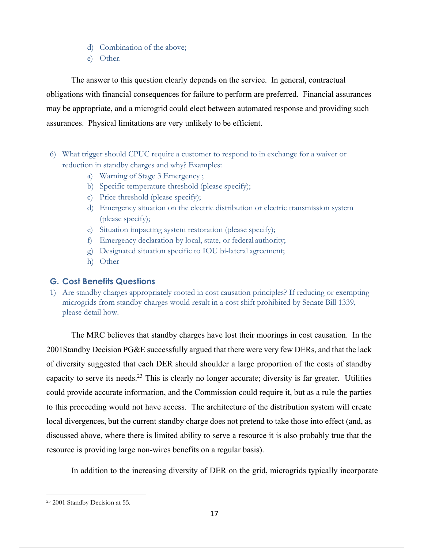- d) Combination of the above;
- e) Other.

The answer to this question clearly depends on the service. In general, contractual obligations with financial consequences for failure to perform are preferred. Financial assurances may be appropriate, and a microgrid could elect between automated response and providing such assurances. Physical limitations are very unlikely to be efficient.

- 6) What trigger should CPUC require a customer to respond to in exchange for a waiver or reduction in standby charges and why? Examples:
	- a) Warning of Stage 3 Emergency ;
	- b) Specific temperature threshold (please specify);
	- c) Price threshold (please specify);
	- d) Emergency situation on the electric distribution or electric transmission system (please specify);
	- e) Situation impacting system restoration (please specify);
	- f) Emergency declaration by local, state, or federal authority;
	- g) Designated situation specific to IOU bi-lateral agreement;
	- h) Other

## **G. Cost Benefits Questions**

1) Are standby charges appropriately rooted in cost causation principles? If reducing or exempting microgrids from standby charges would result in a cost shift prohibited by Senate Bill 1339, please detail how.

The MRC believes that standby charges have lost their moorings in cost causation. In the 2001Standby Decision PG&E successfully argued that there were very few DERs, and that the lack of diversity suggested that each DER should shoulder a large proportion of the costs of standby capacity to serve its needs.<sup>23</sup> This is clearly no longer accurate; diversity is far greater. Utilities could provide accurate information, and the Commission could require it, but as a rule the parties to this proceeding would not have access. The architecture of the distribution system will create local divergences, but the current standby charge does not pretend to take those into effect (and, as discussed above, where there is limited ability to serve a resource it is also probably true that the resource is providing large non-wires benefits on a regular basis).

In addition to the increasing diversity of DER on the grid, microgrids typically incorporate

<sup>23 2001</sup> Standby Decision at 55.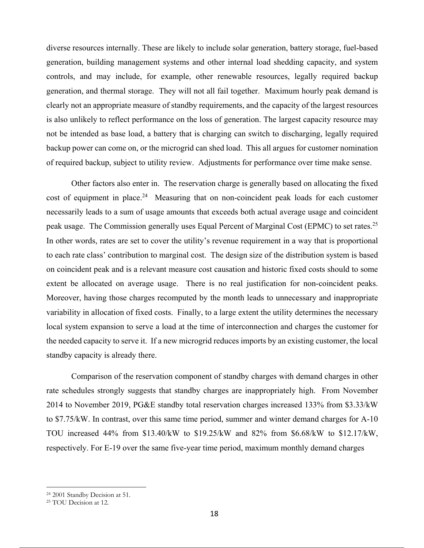diverse resources internally. These are likely to include solar generation, battery storage, fuel-based generation, building management systems and other internal load shedding capacity, and system controls, and may include, for example, other renewable resources, legally required backup generation, and thermal storage. They will not all fail together. Maximum hourly peak demand is clearly not an appropriate measure of standby requirements, and the capacity of the largest resources is also unlikely to reflect performance on the loss of generation. The largest capacity resource may not be intended as base load, a battery that is charging can switch to discharging, legally required backup power can come on, or the microgrid can shed load. This all argues for customer nomination of required backup, subject to utility review. Adjustments for performance over time make sense.

Other factors also enter in. The reservation charge is generally based on allocating the fixed cost of equipment in place.<sup>24</sup> Measuring that on non-coincident peak loads for each customer necessarily leads to a sum of usage amounts that exceeds both actual average usage and coincident peak usage. The Commission generally uses Equal Percent of Marginal Cost (EPMC) to set rates.<sup>25</sup> In other words, rates are set to cover the utility's revenue requirement in a way that is proportional to each rate class' contribution to marginal cost. The design size of the distribution system is based on coincident peak and is a relevant measure cost causation and historic fixed costs should to some extent be allocated on average usage. There is no real justification for non-coincident peaks. Moreover, having those charges recomputed by the month leads to unnecessary and inappropriate variability in allocation of fixed costs. Finally, to a large extent the utility determines the necessary local system expansion to serve a load at the time of interconnection and charges the customer for the needed capacity to serve it. If a new microgrid reduces imports by an existing customer, the local standby capacity is already there.

Comparison of the reservation component of standby charges with demand charges in other rate schedules strongly suggests that standby charges are inappropriately high. From November 2014 to November 2019, PG&E standby total reservation charges increased 133% from \$3.33/kW to \$7.75/kW. In contrast, over this same time period, summer and winter demand charges for A-10 TOU increased 44% from \$13.40/kW to \$19.25/kW and 82% from \$6.68/kW to \$12.17/kW, respectively. For E-19 over the same five-year time period, maximum monthly demand charges

<sup>24 2001</sup> Standby Decision at 51.

<sup>25</sup> TOU Decision at 12.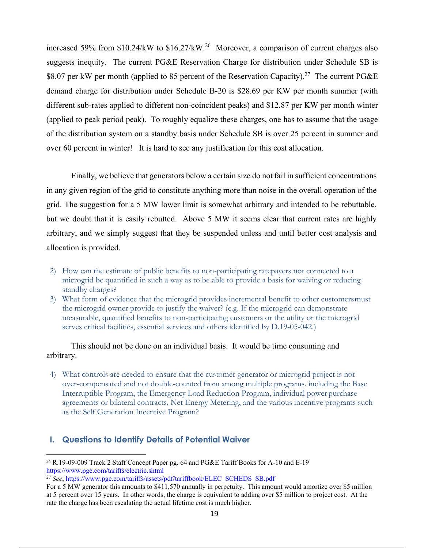increased 59% from  $$10.24/kW$  to  $$16.27/kW.<sup>26</sup>$  Moreover, a comparison of current charges also suggests inequity. The current PG&E Reservation Charge for distribution under Schedule SB is \$8.07 per kW per month (applied to 85 percent of the Reservation Capacity).<sup>27</sup> The current PG&E demand charge for distribution under Schedule B-20 is \$28.69 per KW per month summer (with different sub-rates applied to different non-coincident peaks) and \$12.87 per KW per month winter (applied to peak period peak). To roughly equalize these charges, one has to assume that the usage of the distribution system on a standby basis under Schedule SB is over 25 percent in summer and over 60 percent in winter! It is hard to see any justification for this cost allocation.

Finally, we believe that generators below a certain size do not fail in sufficient concentrations in any given region of the grid to constitute anything more than noise in the overall operation of the grid. The suggestion for a 5 MW lower limit is somewhat arbitrary and intended to be rebuttable, but we doubt that it is easily rebutted. Above 5 MW it seems clear that current rates are highly arbitrary, and we simply suggest that they be suspended unless and until better cost analysis and allocation is provided.

- 2) How can the estimate of public benefits to non-participating ratepayers not connected to a microgrid be quantified in such a way as to be able to provide a basis for waiving or reducing standby charges?
- 3) What form of evidence that the microgrid provides incremental benefit to other customers must the microgrid owner provide to justify the waiver? (e.g. If the microgrid can demonstrate measurable, quantified benefits to non-participating customers or the utility or the microgrid serves critical facilities, essential services and others identified by D.19-05-042.)

This should not be done on an individual basis. It would be time consuming and arbitrary.

4) What controls are needed to ensure that the customer generator or microgrid project is not over-compensated and not double-counted from among multiple programs. including the Base Interruptible Program, the Emergency Load Reduction Program, individual power purchase agreements or bilateral contracts, Net Energy Metering, and the various incentive programs such as the Self Generation Incentive Program?

## **I. Questions to Identify Details of Potential Waiver**

1

<sup>26</sup> R.19-09-009 Track 2 Staff Concept Paper pg. 64 and PG&E Tariff Books for A-10 and E-19 https://www.pge.com/tariffs/electric.shtml

<sup>&</sup>lt;sup>27</sup> See, https://www.pge.com/tariffs/assets/pdf/tariffbook/ELEC\_SCHEDS\_SB.pdf

For a 5 MW generator this amounts to \$411,570 annually in perpetuity. This amount would amortize over \$5 million at 5 percent over 15 years. In other words, the charge is equivalent to adding over \$5 million to project cost. At the rate the charge has been escalating the actual lifetime cost is much higher.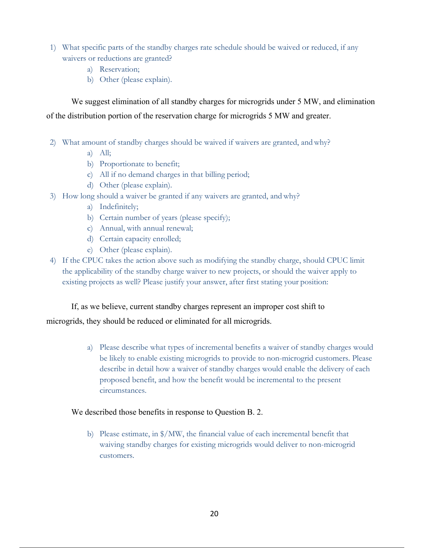- 1) What specific parts of the standby charges rate schedule should be waived or reduced, if any waivers or reductions are granted?
	- a) Reservation;
	- b) Other (please explain).

We suggest elimination of all standby charges for microgrids under 5 MW, and elimination of the distribution portion of the reservation charge for microgrids 5 MW and greater.

- 2) What amount of standby charges should be waived if waivers are granted, and why?
	- a) All;
	- b) Proportionate to benefit;
	- c) All if no demand charges in that billing period;
	- d) Other (please explain).
- 3) How long should a waiver be granted if any waivers are granted, and why?
	- a) Indefinitely;
	- b) Certain number of years (please specify);
	- c) Annual, with annual renewal;
	- d) Certain capacity enrolled;
	- e) Other (please explain).
- 4) If the CPUC takes the action above such as modifying the standby charge, should CPUC limit the applicability of the standby charge waiver to new projects, or should the waiver apply to existing projects as well? Please justify your answer, after first stating your position:

If, as we believe, current standby charges represent an improper cost shift to

### microgrids, they should be reduced or eliminated for all microgrids.

a) Please describe what types of incremental benefits a waiver of standby charges would be likely to enable existing microgrids to provide to non-microgrid customers. Please describe in detail how a waiver of standby charges would enable the delivery of each proposed benefit, and how the benefit would be incremental to the present circumstances.

### We described those benefits in response to Question B. 2.

b) Please estimate, in \$/MW, the financial value of each incremental benefit that waiving standby charges for existing microgrids would deliver to non-microgrid customers.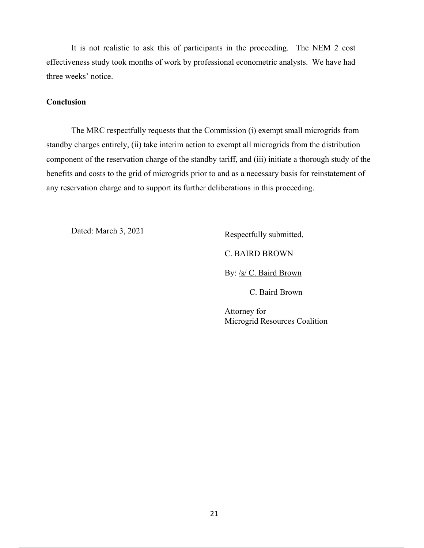It is not realistic to ask this of participants in the proceeding. The NEM 2 cost effectiveness study took months of work by professional econometric analysts. We have had three weeks' notice.

#### **Conclusion**

The MRC respectfully requests that the Commission (i) exempt small microgrids from standby charges entirely, (ii) take interim action to exempt all microgrids from the distribution component of the reservation charge of the standby tariff, and (iii) initiate a thorough study of the benefits and costs to the grid of microgrids prior to and as a necessary basis for reinstatement of any reservation charge and to support its further deliberations in this proceeding.

Dated: March 3, 2021

Respectfully submitted,

C. BAIRD BROWN

By: /s/ C. Baird Brown

C. Baird Brown

Attorney for Microgrid Resources Coalition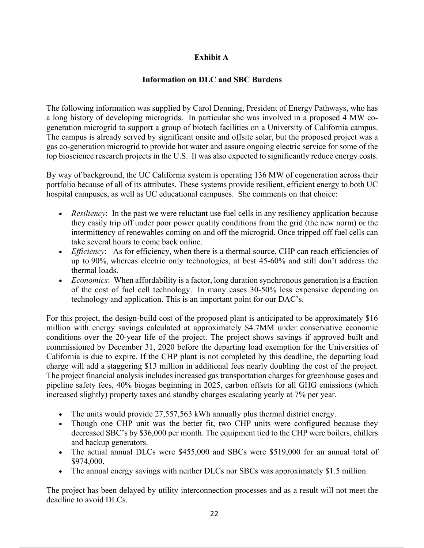# **Exhibit A**

## **Information on DLC and SBC Burdens**

The following information was supplied by Carol Denning, President of Energy Pathways, who has a long history of developing microgrids. In particular she was involved in a proposed 4 MW cogeneration microgrid to support a group of biotech facilities on a University of California campus. The campus is already served by significant onsite and offsite solar, but the proposed project was a gas co-generation microgrid to provide hot water and assure ongoing electric service for some of the top bioscience research projects in the U.S. It was also expected to significantly reduce energy costs.

By way of background, the UC California system is operating 136 MW of cogeneration across their portfolio because of all of its attributes. These systems provide resilient, efficient energy to both UC hospital campuses, as well as UC educational campuses. She comments on that choice:

- *Resiliency*: In the past we were reluctant use fuel cells in any resiliency application because they easily trip off under poor power quality conditions from the grid (the new norm) or the intermittency of renewables coming on and off the microgrid. Once tripped off fuel cells can take several hours to come back online.
- *Efficiency*: As for efficiency, when there is a thermal source, CHP can reach efficiencies of up to 90%, whereas electric only technologies, at best 45-60% and still don't address the thermal loads.
- *Economics*: When affordability is a factor, long duration synchronous generation is a fraction of the cost of fuel cell technology. In many cases 30-50% less expensive depending on technology and application. This is an important point for our DAC's.

For this project, the design-build cost of the proposed plant is anticipated to be approximately \$16 million with energy savings calculated at approximately \$4.7MM under conservative economic conditions over the 20-year life of the project. The project shows savings if approved built and commissioned by December 31, 2020 before the departing load exemption for the Universities of California is due to expire. If the CHP plant is not completed by this deadline, the departing load charge will add a staggering \$13 million in additional fees nearly doubling the cost of the project. The project financial analysis includes increased gas transportation charges for greenhouse gases and pipeline safety fees, 40% biogas beginning in 2025, carbon offsets for all GHG emissions (which increased slightly) property taxes and standby charges escalating yearly at 7% per year.

- The units would provide 27,557,563 kWh annually plus thermal district energy.
- Though one CHP unit was the better fit, two CHP units were configured because they decreased SBC's by \$36,000 per month. The equipment tied to the CHP were boilers, chillers and backup generators.
- The actual annual DLCs were \$455,000 and SBCs were \$519,000 for an annual total of \$974,000.
- The annual energy savings with neither DLCs nor SBCs was approximately \$1.5 million.

The project has been delayed by utility interconnection processes and as a result will not meet the deadline to avoid DLCs.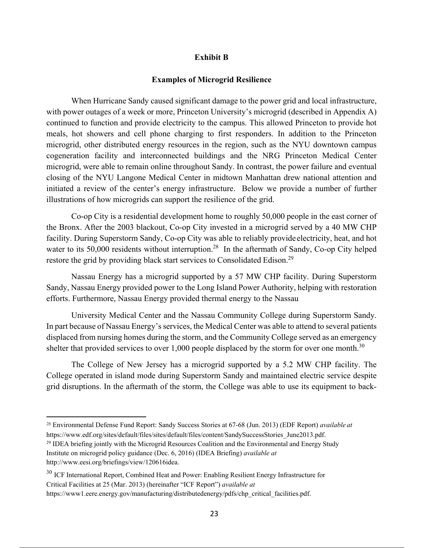#### **Exhibit B**

#### **Examples of Microgrid Resilience**

When Hurricane Sandy caused significant damage to the power grid and local infrastructure, with power outages of a week or more, Princeton University's microgrid (described in Appendix A) continued to function and provide electricity to the campus. This allowed Princeton to provide hot meals, hot showers and cell phone charging to first responders. In addition to the Princeton microgrid, other distributed energy resources in the region, such as the NYU downtown campus cogeneration facility and interconnected buildings and the NRG Princeton Medical Center microgrid, were able to remain online throughout Sandy. In contrast, the power failure and eventual closing of the NYU Langone Medical Center in midtown Manhattan drew national attention and initiated a review of the center's energy infrastructure. Below we provide a number of further illustrations of how microgrids can support the resilience of the grid.

Co-op City is a residential development home to roughly 50,000 people in the east corner of the Bronx. After the 2003 blackout, Co-op City invested in a microgrid served by a 40 MW CHP facility. During Superstorm Sandy, Co-op City was able to reliably provide electricity, heat, and hot water to its 50,000 residents without interruption.<sup>28</sup> In the aftermath of Sandy, Co-op City helped restore the grid by providing black start services to Consolidated Edison.<sup>29</sup>

Nassau Energy has a microgrid supported by a 57 MW CHP facility. During Superstorm Sandy, Nassau Energy provided power to the Long Island Power Authority, helping with restoration efforts. Furthermore, Nassau Energy provided thermal energy to the Nassau

University Medical Center and the Nassau Community College during Superstorm Sandy. In part because of Nassau Energy's services, the Medical Center was able to attend to several patients displaced from nursing homes during the storm, and the Community College served as an emergency shelter that provided services to over 1,000 people displaced by the storm for over one month.<sup>30</sup>

The College of New Jersey has a microgrid supported by a 5.2 MW CHP facility. The College operated in island mode during Superstorm Sandy and maintained electric service despite grid disruptions. In the aftermath of the storm, the College was able to use its equipment to back-

1

 $^{29}$  IDEA briefing jointly with the Microgrid Resources Coalition and the Environmental and Energy Study Institute on microgrid policy guidance (Dec. 6, 2016) (IDEA Briefing) *available at*  http://www.eesi.org/briefings/view/120616idea.

<sup>28</sup> Environmental Defense Fund Report: Sandy Success Stories at 67-68 (Jun. 2013) (EDF Report) *available at*

https://www.edf.org/sites/default/files/sites/default/files/content/SandySuccessStories\_June2013.pdf.

<sup>&</sup>lt;sup>30</sup> ICF International Report, Combined Heat and Power: Enabling Resilient Energy Infrastructure for Critical Facilities at 25 (Mar. 2013) (hereinafter "ICF Report") *available at* 

https://www1.eere.energy.gov/manufacturing/distributedenergy/pdfs/chp\_critical\_facilities.pdf.